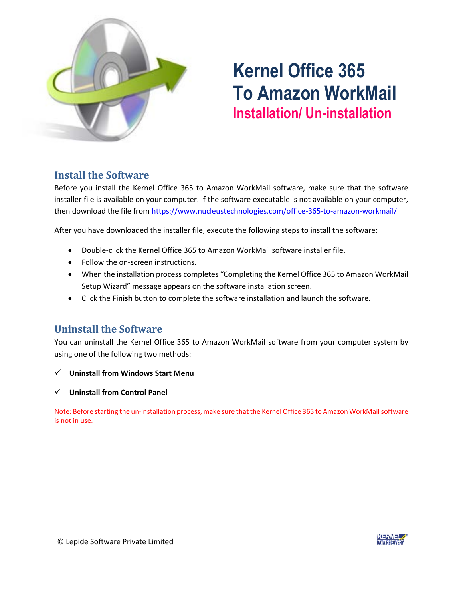

# **Kernel Office 365 To Amazon WorkMail Installation/ Un-installation**

## **Install the Software**

Before you install the Kernel Office 365 to Amazon WorkMail software, make sure that the software installer file is available on your computer. If the software executable is not available on your computer, then download the file from<https://www.nucleustechnologies.com/office-365-to-amazon-workmail/>

After you have downloaded the installer file, execute the following steps to install the software:

- Double-click the Kernel Office 365 to Amazon WorkMail software installer file.
- Follow the on-screen instructions.
- When the installation process completes "Completing the Kernel Office 365 to Amazon WorkMail Setup Wizard" message appears on the software installation screen.
- Click the **Finish** button to complete the software installation and launch the software.

## **Uninstall the Software**

You can uninstall the Kernel Office 365 to Amazon WorkMail software from your computer system by using one of the following two methods:

- ✓ **Uninstall from Windows Start Menu**
- ✓ **Uninstall from Control Panel**

Note: Before starting the un-installation process, make sure that the Kernel Office 365 to Amazon WorkMail software is not in use.